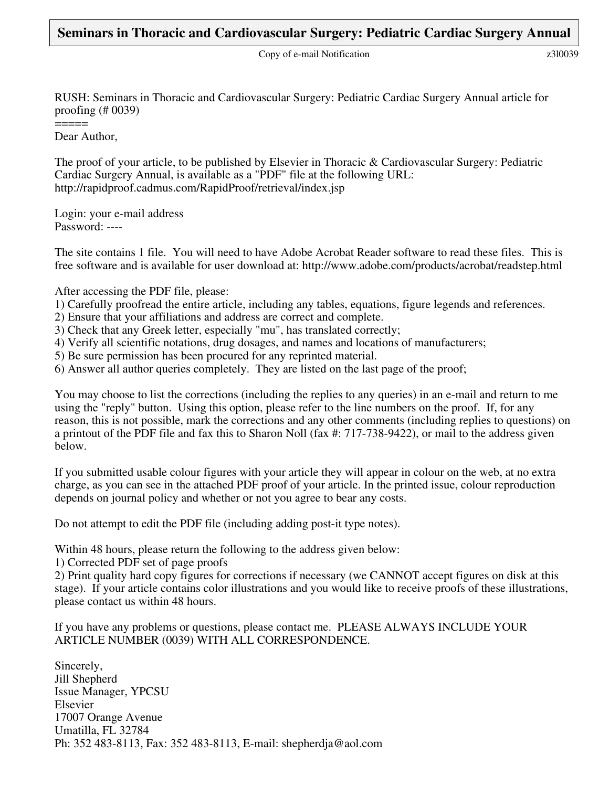# **Seminars in Thoracic and Cardiovascular Surgery: Pediatric Cardiac Surgery Annual**

Copy of e-mail Notification z310039

RUSH: Seminars in Thoracic and Cardiovascular Surgery: Pediatric Cardiac Surgery Annual article for proofing (# 0039)

Dear Author,

=====

The proof of your article, to be published by Elsevier in Thoracic & Cardiovascular Surgery: Pediatric Cardiac Surgery Annual, is available as a "PDF" file at the following URL: http://rapidproof.cadmus.com/RapidProof/retrieval/index.jsp

Login: your e-mail address Password: ----

The site contains 1 file. You will need to have Adobe Acrobat Reader software to read these files. This is free software and is available for user download at: http://www.adobe.com/products/acrobat/readstep.html

After accessing the PDF file, please:

- 1) Carefully proofread the entire article, including any tables, equations, figure legends and references.
- 2) Ensure that your affiliations and address are correct and complete.
- 3) Check that any Greek letter, especially "mu", has translated correctly;
- 4) Verify all scientific notations, drug dosages, and names and locations of manufacturers;
- 5) Be sure permission has been procured for any reprinted material.
- 6) Answer all author queries completely. They are listed on the last page of the proof;

You may choose to list the corrections (including the replies to any queries) in an e-mail and return to me using the "reply" button. Using this option, please refer to the line numbers on the proof. If, for any reason, this is not possible, mark the corrections and any other comments (including replies to questions) on a printout of the PDF file and fax this to Sharon Noll (fax #: 717-738-9422), or mail to the address given below.

If you submitted usable colour figures with your article they will appear in colour on the web, at no extra charge, as you can see in the attached PDF proof of your article. In the printed issue, colour reproduction depends on journal policy and whether or not you agree to bear any costs.

Do not attempt to edit the PDF file (including adding post-it type notes).

Within 48 hours, please return the following to the address given below:

1) Corrected PDF set of page proofs

2) Print quality hard copy figures for corrections if necessary (we CANNOT accept figures on disk at this stage). If your article contains color illustrations and you would like to receive proofs of these illustrations, please contact us within 48 hours.

If you have any problems or questions, please contact me. PLEASE ALWAYS INCLUDE YOUR ARTICLE NUMBER (0039) WITH ALL CORRESPONDENCE.

Sincerely, Jill Shepherd Issue Manager, YPCSU Elsevier 17007 Orange Avenue Umatilla, FL 32784 Ph: 352 483-8113, Fax: 352 483-8113, E-mail: shepherdja@aol.com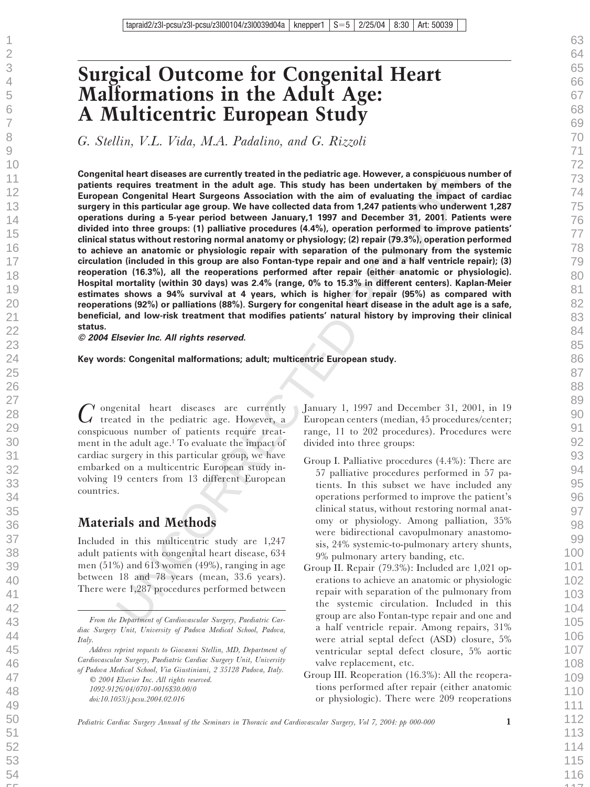# **Surgical Outcome for Congenital Heart Malformations in the Adult Age: A Multicentric European Study**

*G. Stellin, V.L. Vida, M.A. Padalino, and G. Rizzoli*

 $-5$ 

ial heart diseases are currently treated in the pediative age. However, a conspicuous numerical<br>in the pediative and the pediative age. This study has been undertaken by members<br>or consentral Heart Surgeons Association wi **Congenital heart diseases are currently treated in the pediatric age. However, a conspicuous number of patients requires treatment in the adult age. This study has been undertaken by members of the European Congenital Heart Surgeons Association with the aim of evaluating the impact of cardiac surgery in this particular age group. We have collected data from 1,247 patients who underwent 1,287 operations during a 5-year period between January,1 1997 and December 31, 2001. Patients were divided into three groups: (1) palliative procedures (4.4%), operation performed to improve patients' clinical status without restoring normal anatomy or physiology; (2) repair (79.3%), operation performed to achieve an anatomic or physiologic repair with separation of the pulmonary from the systemic circulation (included in this group are also Fontan-type repair and one and a half ventricle repair); (3) reoperation (16.3%), all the reoperations performed after repair (either anatomic or physiologic). Hospital mortality (within 30 days) was 2.4% (range, 0% to 15.3% in different centers). Kaplan-Meier estimates shows a 94% survival at 4 years, which is higher for repair (95%) as compared with reoperations (92%) or palliations (88%). Surgery for congenital heart disease in the adult age is a safe, beneficial, and low-risk treatment that modifies patients' natural history by improving their clinical status.**

*© 2004 Elsevier Inc. All rights reserved.*

**Key words: Congenital malformations; adult; multicentric European study.**

Y ongenital heart diseases are currently  $\overline{\mathcal{A}}$  treated in the pediatric age. However, a conspicuous number of patients require treatment in the adult age.1 To evaluate the impact of cardiac surgery in this particular group, we have embarked on a multicentric European study involving 19 centers from 13 different European countries.

### **Materials and Methods**

Included in this multicentric study are 1,247 adult patients with congenital heart disease, 634 men (51%) and 613 women (49%), ranging in age between 18 and 78 years (mean, 33.6 years). There were 1,287 procedures performed between

*© 2004 Elsevier Inc. All rights reserved. 1092-9126/04/0701-0016\$30.00/0 doi:10.1053/j.pcsu.2004.02.016*

January 1, 1997 and December 31, 2001, in 19 European centers (median, 45 procedures/center; range, 11 to 202 procedures). Procedures were divided into three groups:

- Group I. Palliative procedures (4.4%): There are 57 palliative procedures performed in 57 patients. In this subset we have included any operations performed to improve the patient's clinical status, without restoring normal anatomy or physiology. Among palliation, 35% were bidirectional cavopulmonary anastomosis, 24% systemic-to-pulmonary artery shunts, 9% pulmonary artery banding, etc.
- Group II. Repair (79.3%): Included are 1,021 operations to achieve an anatomic or physiologic repair with separation of the pulmonary from the systemic circulation. Included in this group are also Fontan-type repair and one and a half ventricle repair. Among repairs, 31% were atrial septal defect (ASD) closure, 5% ventricular septal defect closure, 5% aortic valve replacement, etc.
- Group III. Reoperation (16.3%): All the reoperations performed after repair (either anatomic or physiologic). There were 209 reoperations

*Pediatric Cardiac Surgery Annual of the Seminars in Thoracic and Cardiovascular Surgery, Vol 7, 2004: pp 000-000* **1**

*From the Department of Cardiovascular Surgery, Paediatric Cardiac Surgery Unit, University of Padova Medical School, Padova, Italy.*

*Address reprint requests to Giovanni Stellin, MD, Department of Cardiovascular Surgery, Paediatric Cardiac Surgery Unit, University of Padova Medical School, Via Giustiniani, 2 35128 Padova, Italy.*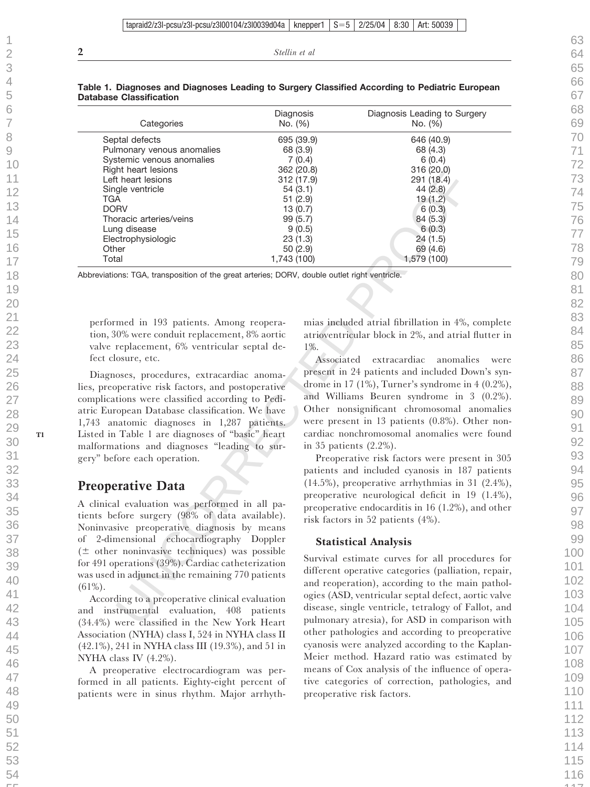| tapraid2/z3l-pcsu/z3l-pcsu/z3l00104/z3l0039d04a   knepper1   S=5   2/25/04   8:30   Art: 50039 |  |  |  |  |  |
|------------------------------------------------------------------------------------------------|--|--|--|--|--|
|------------------------------------------------------------------------------------------------|--|--|--|--|--|

| Categories                                                                                                                                                                                                                                                                                                                                                                                                                                                                                                                                                     | Diagnosis<br>No. (%)                                                                                                                                    | Diagnosis Leading to Surgery<br>No. (%)                                                                                                                                                                                                                                                                                                                                                                                                                                                                                                                                                  |
|----------------------------------------------------------------------------------------------------------------------------------------------------------------------------------------------------------------------------------------------------------------------------------------------------------------------------------------------------------------------------------------------------------------------------------------------------------------------------------------------------------------------------------------------------------------|---------------------------------------------------------------------------------------------------------------------------------------------------------|------------------------------------------------------------------------------------------------------------------------------------------------------------------------------------------------------------------------------------------------------------------------------------------------------------------------------------------------------------------------------------------------------------------------------------------------------------------------------------------------------------------------------------------------------------------------------------------|
| Septal defects<br>Pulmonary venous anomalies<br>Systemic venous anomalies<br>Right heart lesions<br>Left heart lesions<br>Single ventricle<br><b>TGA</b><br><b>DORV</b><br>Thoracic arteries/veins<br>Lung disease<br>Electrophysiologic<br>Other<br>Total                                                                                                                                                                                                                                                                                                     | 695 (39.9)<br>68 (3.9)<br>7(0.4)<br>362 (20.8)<br>312 (17.9)<br>54(3.1)<br>51(2.9)<br>13(0.7)<br>99(5.7)<br>9(0.5)<br>23(1.3)<br>50(2.9)<br>1,743 (100) | 646 (40.9)<br>68 (4.3)<br>6(0.4)<br>316 (20.0)<br>291 (18.4)<br>44(2.8)<br>19 (1.2)<br>6(0.3)<br>84(5.3)<br>6(0.3)<br>24 (1.5)<br>69 (4.6)<br>1,579 (100)                                                                                                                                                                                                                                                                                                                                                                                                                                |
| Abbreviations: TGA, transposition of the great arteries; DORV, double outlet right ventricle.                                                                                                                                                                                                                                                                                                                                                                                                                                                                  |                                                                                                                                                         |                                                                                                                                                                                                                                                                                                                                                                                                                                                                                                                                                                                          |
| performed in 193 patients. Among reopera-<br>tion, 30% were conduit replacement, 8% aortic<br>valve replacement, 6% ventricular septal de-<br>fect closure, etc.<br>Diagnoses, procedures, extracardiac anoma-<br>lies, preoperative risk factors, and postoperative<br>complications were classified according to Pedi-<br>atric European Database classification. We have<br>1,743 anatomic diagnoses in 1,287 patients.<br>Listed in Table 1 are diagnoses of "basic" heart<br>malformations and diagnoses "leading to sur-<br>gery" before each operation. | $1\%$ .                                                                                                                                                 | mias included atrial fibrillation in 4%, complet<br>atrioventricular block in 2%, and atrial flutter i<br>extracardiac<br>anomalies<br>Associated<br>wei<br>present in 24 patients and included Down's syn<br>drome in 17 (1%), Turner's syndrome in $4(0.2\%)$<br>and Williams Beuren syndrome in 3 (0.2%<br>Other nonsignificant chromosomal anomalie<br>were present in 13 patients $(0.8\%)$ . Other not<br>cardiac nonchromosomal anomalies were foun<br>in 35 patients $(2.2\%)$ .<br>Preoperative risk factors were present in 30<br>patients and included cyanosis in 187 patien |
| <b>Preoperative Data</b><br>A clinical evaluation was performed in all pa-<br>tients before surgery (98% of data available).<br>Noninvasive preoperative diagnosis by means<br>of 2-dimensional echocardiography Doppler<br>$(\pm$ other noninvasive techniques) was possible<br>for 491 operations (39%). Cardiac catheterization<br>was used in adjunct in the remaining 770 patients<br>$(61\%).$<br>According to a preoperative clinical evaluation<br>and instrumental evaluation, 408 patients<br>$(34.4\%)$ were classified in the New York Heart       |                                                                                                                                                         | $(14.5\%)$ , preoperative arrhythmias in 31 $(2.4\%)$<br>preoperative neurological deficit in 19 (1.4%)<br>preoperative endocarditis in 16 $(1.2\%)$ , and other<br>risk factors in 52 patients $(4\%)$ .                                                                                                                                                                                                                                                                                                                                                                                |
|                                                                                                                                                                                                                                                                                                                                                                                                                                                                                                                                                                |                                                                                                                                                         | <b>Statistical Analysis</b><br>Survival estimate curves for all procedures for<br>different operative categories (palliation, repai<br>and reoperation), according to the main patho<br>ogies (ASD, ventricular septal defect, aortic valy<br>disease, single ventricle, tetralogy of Fallot, an<br>pulmonary atresia), for ASD in comparison wit                                                                                                                                                                                                                                        |

#### **Table 1. Diagnoses and Diagnoses Leading to Surgery Classified According to Pediatric European Database Classification**

### **Preoperative Data**

According to a preoperative clinical evaluation and instrumental evaluation, 408 patients (34.4%) were classified in the New York Heart Association (NYHA) class I, 524 in NYHA class II (42.1%), 241 in NYHA class III (19.3%), and 51 in NYHA class IV (4.2%).

A preoperative electrocardiogram was performed in all patients. Eighty-eight percent of patients were in sinus rhythm. Major arrhyth-

#### **Statistical Analysis**

Survival estimate curves for all procedures for different operative categories (palliation, repair, and reoperation), according to the main pathologies (ASD, ventricular septal defect, aortic valve disease, single ventricle, tetralogy of Fallot, and pulmonary atresia), for ASD in comparison with other pathologies and according to preoperative cyanosis were analyzed according to the Kaplan-Meier method. Hazard ratio was estimated by means of Cox analysis of the influence of operative categories of correction, pathologies, and preoperative risk factors.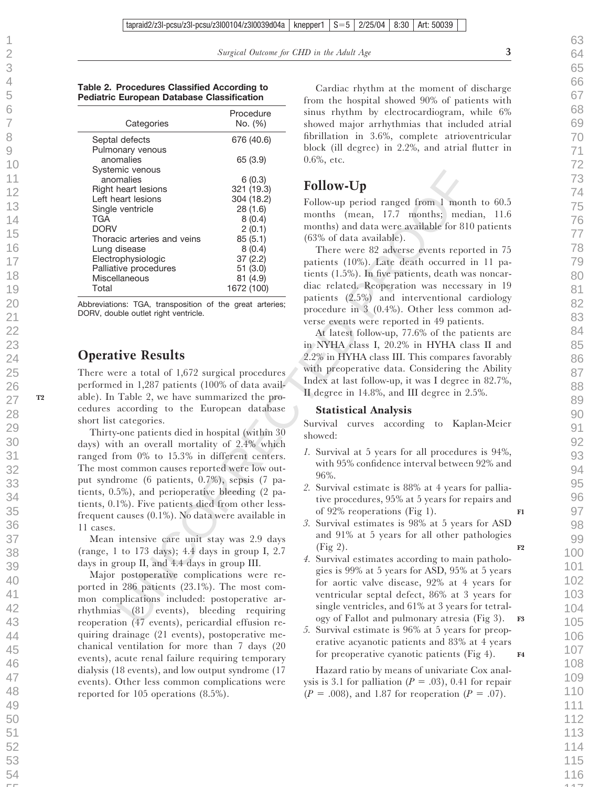### **Operative Results**

Major postoperative complications were reported in 286 patients (23.1%). The most common complications included: postoperative arrhythmias (81 events), bleeding requiring reoperation (47 events), pericardial effusion requiring drainage (21 events), postoperative mechanical ventilation for more than 7 days (20 events), acute renal failure requiring temporary dialysis (18 events), and low output syndrome (17 events). Other less common complications were reported for 105 operations (8.5%).

Cardiac rhythm at the moment of discharge from the hospital showed 90% of patients with sinus rhythm by electrocardiogram, while 6% showed major arrhythmias that included atrial fibrillation in 3.6%, complete atrioventricular block (ill degree) in 2.2%, and atrial flutter in 0.6%, etc.

# **Follow-Up**

Follow-up period ranged from 1 month to 60.5 months (mean, 17.7 months; median, 11.6 months) and data were available for 810 patients (63% of data available).

There were 82 adverse events reported in 75 patients (10%). Late death occurred in 11 patients (1.5%). In five patients, death was noncardiac related. Reoperation was necessary in 19 patients (2.5%) and interventional cardiology procedure in 3 (0.4%). Other less common adverse events were reported in 49 patients.

At latest follow-up, 77.6% of the patients are in NYHA class I, 20.2% in HYHA class II and 2.2% in HYHA class III. This compares favorably with preoperative data. Considering the Ability Index at last follow-up, it was I degree in 82.7%, II degree in 14.8%, and III degree in 2.5%.

### **Statistical Analysis**

Survival curves according to Kaplan-Meier showed:

- *1.* Survival at 5 years for all procedures is 94%, with 95% confidence interval between 92% and 96%.
- *2.* Survival estimate is 88% at 4 years for palliative procedures, 95% at 5 years for repairs and of 92% reoperations (Fig 1). **F1**
- *3.* Survival estimates is 98% at 5 years for ASD and 91% at 5 years for all other pathologies (Fig 2).
- *4.* Survival estimates according to main pathologies is 99% at 5 years for ASD, 95% at 5 years for aortic valve disease, 92% at 4 years for ventricular septal defect, 86% at 3 years for single ventricles, and 61% at 3 years for tetralogy of Fallot and pulmonary atresia (Fig 3). **F3**
- *5.* Survival estimate is 96% at 5 years for preoperative acyanotic patients and 83% at 4 years for preoperative cyanotic patients (Fig 4). **F4**

Hazard ratio by means of univariate Cox analysis is 3.1 for palliation  $(P = .03)$ , 0.41 for repair  $(P = .008)$ , and 1.87 for reoperation  $(P = .07)$ .

#### **Table 2. Procedures Classified According to Pediatric European Database Classification**

| Categories                                                                                                                                                                                                                                                                                                                                                                                                                                                                                                                                                                                                                                                                                            | Procedure<br>No. (%)                                                                                                                     | sinus rhythm by electrocardiogram, wh<br>showed major arrhythmias that included                                                                                                                                                                                                                                                                                                                                                                                                                                         |
|-------------------------------------------------------------------------------------------------------------------------------------------------------------------------------------------------------------------------------------------------------------------------------------------------------------------------------------------------------------------------------------------------------------------------------------------------------------------------------------------------------------------------------------------------------------------------------------------------------------------------------------------------------------------------------------------------------|------------------------------------------------------------------------------------------------------------------------------------------|-------------------------------------------------------------------------------------------------------------------------------------------------------------------------------------------------------------------------------------------------------------------------------------------------------------------------------------------------------------------------------------------------------------------------------------------------------------------------------------------------------------------------|
| Septal defects<br>Pulmonary venous<br>anomalies                                                                                                                                                                                                                                                                                                                                                                                                                                                                                                                                                                                                                                                       | 676 (40.6)<br>65 (3.9)                                                                                                                   | fibrillation in 3.6%, complete atriovent<br>block (ill degree) in 2.2%, and atrial flu<br>$0.6\%$ , etc.                                                                                                                                                                                                                                                                                                                                                                                                                |
| Systemic venous<br>anomalies<br>Right heart lesions<br>Left heart lesions<br>Single ventricle<br>TGA<br><b>DORV</b><br>Thoracic arteries and veins<br>Lung disease<br>Electrophysiologic<br>Palliative procedures<br>Miscellaneous<br>Total                                                                                                                                                                                                                                                                                                                                                                                                                                                           | 6 (0.3)<br>321 (19.3)<br>304 (18.2)<br>28 (1.6)<br>8(0.4)<br>2(0.1)<br>85(5.1)<br>8(0.4)<br>37(2.2)<br>51(3.0)<br>81 (4.9)<br>1672 (100) | Follow-Up<br>Follow-up period ranged from 1 month<br>months (mean, 17.7 months; median<br>months) and data were available for 810 p<br>(63% of data available).<br>There were 82 adverse events reported<br>patients (10%). Late death occurred in<br>tients (1.5%). In five patients, death was r<br>diac related. Reoperation was necessary                                                                                                                                                                           |
| Abbreviations: TGA, transposition of the great arteries;<br>ORV, double outlet right ventricle.<br><b>Operative Results</b><br>There were a total of 1,672 surgical procedures<br>erformed in 1,287 patients (100% of data avail-                                                                                                                                                                                                                                                                                                                                                                                                                                                                     |                                                                                                                                          | patients (2.5%) and interventional care<br>procedure in $3(0.4\%)$ . Other less comm<br>verse events were reported in 49 patients.<br>At latest follow-up, 77.6% of the patier<br>in NYHA class I, 20.2% in HYHA class<br>2.2% in HYHA class III. This compares fav<br>with preoperative data. Considering the<br>Index at last follow-up, it was I degree in<br>II degree in 14.8%, and III degree in 2.5%                                                                                                             |
| ble). In Table 2, we have summarized the pro-<br>edures according to the European database                                                                                                                                                                                                                                                                                                                                                                                                                                                                                                                                                                                                            |                                                                                                                                          | <b>Statistical Analysis</b>                                                                                                                                                                                                                                                                                                                                                                                                                                                                                             |
| hort list categories.<br>Thirty-one patients died in hospital (within 30)<br>lays) with an overall mortality of 2.4% which<br>anged from 0% to 15.3% in different centers.<br>The most common causes reported were low out-<br>out syndrome (6 patients, 0.7%), sepsis (7 pa-<br>ients, 0.5%), and perioperative bleeding (2 pa-<br>ients, 0.1%). Five patients died from other less-<br>requent causes (0.1%). No data were available in<br>1 cases.<br>Mean intensive care unit stay was 2.9 days<br>range, 1 to 173 days); 4.4 days in group I, 2.7<br>lays in group II, and 4.4 days in group III.<br>Major postoperative complications were re-<br>oorted in 286 patients (23.1%). The most com- |                                                                                                                                          | Survival<br>curves according to Kaplan<br>showed:<br>1. Survival at 5 years for all procedures i<br>with 95% confidence interval between 92<br>96%.<br>2. Survival estimate is 88% at 4 years for<br>tive procedures, 95% at 5 years for repa<br>of 92% reoperations (Fig 1).<br>3. Survival estimates is 98% at 5 years fo<br>and 91% at 5 years for all other path<br>$(Fig 2)$ .<br>4. Survival estimates according to main p.<br>gies is 99% at 5 years for ASD, 95% at .<br>for aortic valve disease, 92% at 4 yea |
| non complications included: postoperative ar-<br>hythmias (81 events), bleeding requiring<br>eoperation (47 events), pericardial effusion re-                                                                                                                                                                                                                                                                                                                                                                                                                                                                                                                                                         |                                                                                                                                          | ventricular septal defect, 86% at 3 ye<br>single ventricles, and 61% at 3 years for<br>ogy of Fallot and pulmonary atresia (F                                                                                                                                                                                                                                                                                                                                                                                           |

**T2**

 $-5$ 

115 116

**F2**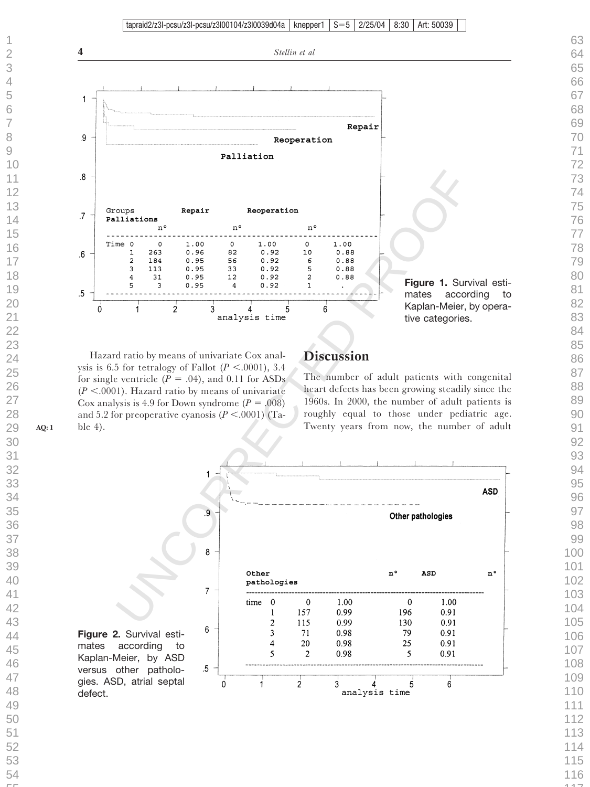

Hazard ratio by means of univariate Cox analysis is 6.5 for tetralogy of Fallot  $(P \le 0.0001)$ , 3.4 for single ventricle  $(P = .04)$ , and 0.11 for ASDs  $(P < .0001)$ . Hazard ratio by means of univariate Cox analysis is 4.9 for Down syndrome  $(P = .008)$ and 5.2 for preoperative cyanosis  $(P < .0001)$  (Table 4).

**AQ: 1**

## **Discussion**

The number of adult patients with congenital heart defects has been growing steadily since the 1960s. In 2000, the number of adult patients is roughly equal to those under pediatric age. Twenty years from now, the number of adult

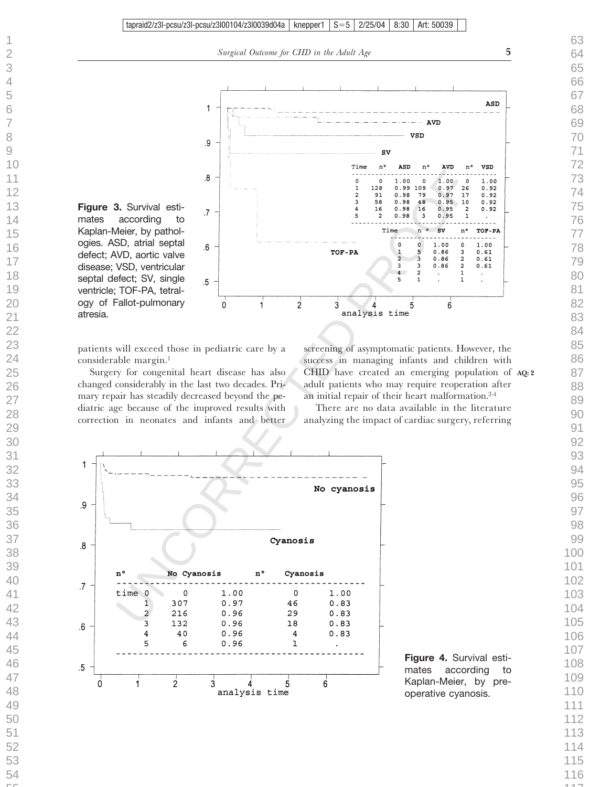*Surgical Outcome for CHD in the Adult Age* **5**



**Figure 3.** Survival estimates according to Kaplan-Meier, by pathologies. ASD, atrial septal defect; AVD, aortic valve disease; VSD, ventricular septal defect; SV, single ventricle; TOF-PA, tetralogy of Fallot-pulmonary atresia.

patients will exceed those in pediatric care by a considerable margin.1

 $.9$ 

Surgery for congenital heart disease has also changed considerably in the last two decades. Primary repair has steadily decreased beyond the pediatric age because of the improved results with correction in neonates and infants and better



**Figure 4.** Survival estimates according to Kaplan-Meier, by preoperative cyanosis.

 $-5$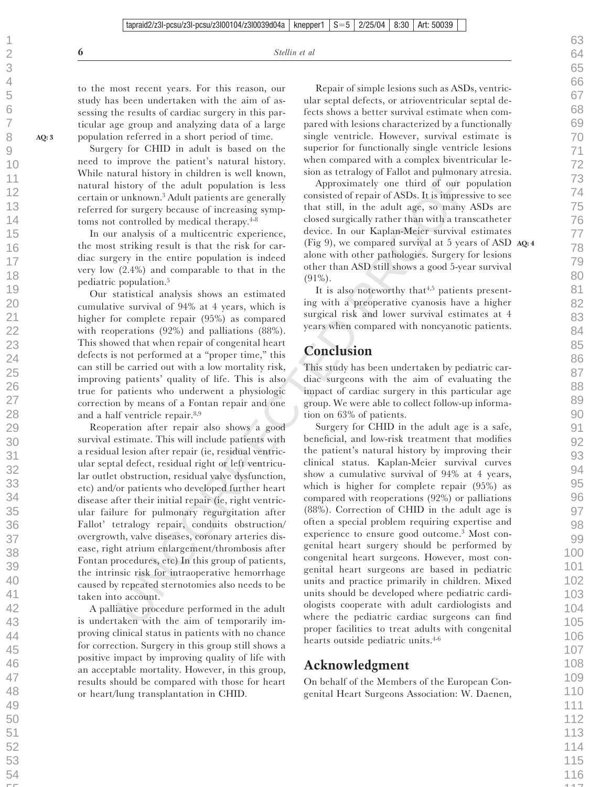$\frac{1}{2}$  tapraid2/z3l-pcsu/z3l-pcsu/z3l00104/z3l0039d04a knepper1  $\frac{1}{5}$  S=5  $\frac{1}{2}$  2/25/04  $\frac{1}{2}$  8:30 Art: 50039

**6** *Stellin et al*

to the most recent years. For this reason, our study has been undertaken with the aim of assessing the results of cardiac surgery in this particular age group and analyzing data of a large population referred in a short period of time.

Surgery for CHID in adult is based on the need to improve the patient's natural history. While natural history in children is well known, natural history of the adult population is less certain or unknown.3 Adult patients are generally referred for surgery because of increasing symptoms not controlled by medical therapy.<sup>4-8</sup>

In our analysis of a multicentric experience, the most striking result is that the risk for cardiac surgery in the entire population is indeed very low (2.4%) and comparable to that in the pediatric population.5

Our statistical analysis shows an estimated cumulative survival of 94% at 4 years, which is higher for complete repair (95%) as compared with reoperations (92%) and palliations (88%). This showed that when repair of congenital heart defects is not performed at a "proper time," this can still be carried out with a low mortality risk, improving patients' quality of life. This is also true for patients who underwent a physiologic correction by means of a Fontan repair and one and a half ventricle repair.8,9

Reoperation after repair also shows a good survival estimate. This will include patients with a residual lesion after repair (ie, residual ventricular septal defect, residual right or left ventricular outlet obstruction, residual valve dysfunction, etc) and/or patients who developed further heart disease after their initial repair (ie, right ventricular failure for pulmonary regurgitation after Fallot' tetralogy repair, conduits obstruction/ overgrowth, valve diseases, coronary arteries disease, right atrium enlargement/thrombosis after Fontan procedures, etc) In this group of patients, the intrinsic risk for intraoperative hemorrhage caused by repeated sternotomies also needs to be taken into account.

A palliative procedure performed in the adult is undertaken with the aim of temporarily improving clinical status in patients with no chance for correction. Surgery in this group still shows a positive impact by improving quality of life with an acceptable mortality. However, in this group, results should be compared with those for heart or heart/lung transplantation in CHID.

Repair of simple lesions such as ASDs, ventricular septal defects, or atrioventricular septal defects shows a better survival estimate when compared with lesions characterized by a functionally single ventricle. However, survival estimate is superior for functionally single ventricle lesions when compared with a complex biventricular lesion as tetralogy of Fallot and pulmonary atresia.

Approximately one third of our population consisted of repair of ASDs. It is impressive to see that still, in the adult age, so many ASDs are closed surgically rather than with a transcatheter device. In our Kaplan-Meier survival estimates (Fig 9), we compared survival at 5 years of ASD **AQ: 4** alone with other pathologies. Surgery for lesions other than ASD still shows a good 5-year survival (91%).

It is also noteworthy that<sup> $4,5$ </sup> patients presenting with a preoperative cyanosis have a higher surgical risk and lower survival estimates at 4 years when compared with noncyanotic patients.

# **Conclusion**

This study has been undertaken by pediatric cardiac surgeons with the aim of evaluating the impact of cardiac surgery in this particular age group. We were able to collect follow-up information on 63% of patients.

ntrant history in children is well known, some a tetralogy of Fallot and pulntuomary<br>some and the solution is less and the standard from the solution is the symmetry controlled by medical tensing sympericulates are genera Surgery for CHID in the adult age is a safe, beneficial, and low-risk treatment that modifies the patient's natural history by improving their clinical status. Kaplan-Meier survival curves show a cumulative survival of 94% at 4 years, which is higher for complete repair (95%) as compared with reoperations (92%) or palliations (88%). Correction of CHID in the adult age is often a special problem requiring expertise and experience to ensure good outcome.3 Most congenital heart surgery should be performed by congenital heart surgeons. However, most congenital heart surgeons are based in pediatric units and practice primarily in children. Mixed units should be developed where pediatric cardiologists cooperate with adult cardiologists and where the pediatric cardiac surgeons can find proper facilities to treat adults with congenital hearts outside pediatric units.4-6

# **Acknowledgment**

On behalf of the Members of the European Congenital Heart Surgeons Association: W. Daenen,

 $-5$ 

1

**AQ: 3**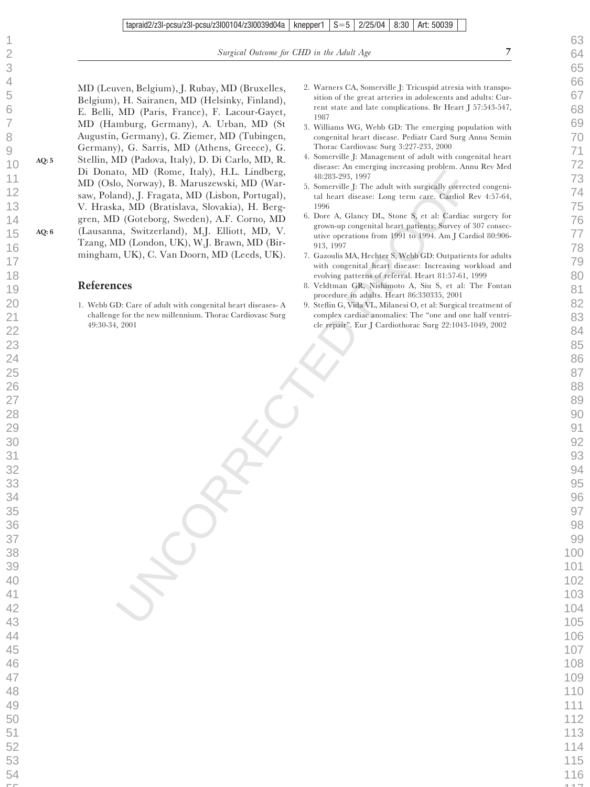MD (Leuven, Belgium), J. Rubay, MD (Bruxelles, Belgium), H. Sairanen, MD (Helsinky, Finland), E. Belli, MD (Paris, France), F. Lacour-Gayet, MD (Hamburg, Germany), A. Urban, MD (St Augustin, Germany), G. Ziemer, MD (Tubingen, Germany), G. Sarris, MD (Athens, Greece), G. Stellin, MD (Padova, Italy), D. Di Carlo, MD, R. Di Donato, MD (Rome, Italy), H.L. Lindberg, MD (Oslo, Norway), B. Maruszewski, MD (Warsaw, Poland), J. Fragata, MD (Lisbon, Portugal), V. Hraska, MD (Bratislava, Slovakia), H. Berggren, MD (Goteborg, Sweden), A.F. Corno, MD (Lausanna, Switzerland), M.J. Elliott, MD, V. Tzang, MD (London, UK), W.J. Brawn, MD (Birmingham, UK), C. Van Doorn, MD (Leeds, UK). **References** 1. Webb GD: Care of adult with congenital heart diseases- A challenge for the new millennium. Thorac Cardiovasc Surg 2. Warners CA, Somerville J: Tricuspid atresia with transposition of the great arteries in adolescents and adults: Current state and late complications. Br Heart J 57:543-547, 3. Williams WG, Webb GD: The emerging population with congenital heart disease. Pediatr Card Surg Annu Semin Thorac Cardiovasc Surg 3:227-233, 2000 4. Somerville J: Management of adult with congenital heart disease: An emerging increasing problem. Annu Rev Med 48:283-293, 1997 5. Somerville J: The adult with surgically corrected congenital heart disease: Long term care. Cardiol Rev 4:57-64, 6. Dore A, Glancy DL, Stone S, et al: Cardiac surgery for grown-up congenital heart patients: Survey of 307 consecutive operations from 1991 to 1994. Am J Cardiol 80:906- 913, 1997 7. Gazoulis MA, Hechter S, Webb GD: Outpatients for adults with congenital heart disease: Increasing workload and evolving patterns of referral. Heart 81:57-61, 1999 8. Veldtman GR, Nishimoto A, Siu S, et al: The Fontan procedure in adults. Heart 86:330335, 2001 9. Steflin G, Vida VL, Milanesi O, et al: Surgical treatment of complex cardiac anomalies: The "one and one half ventri-*Surgical Outcome for CHD in the Adult Age* **7 AQ: 5 AQ: 6**

49:30-34, 2001

tapraid2/z3l-pcsu/z3l-pcsu/z3l00104/z3l0039d04a knepper1  $\mid$  S=5  $\mid$  2/25/04  $\mid$  8:30 Art: 50039

cle repair". Eur J Cardiothorac Surg 22:1043-1049, 2002

16, MD (Rome, Italy), H.L. Lindberg, the first have a the state of the state of the state of the state of the state of the state of the state of the state of the state of the state of the state of the state of the state of

 $-5$